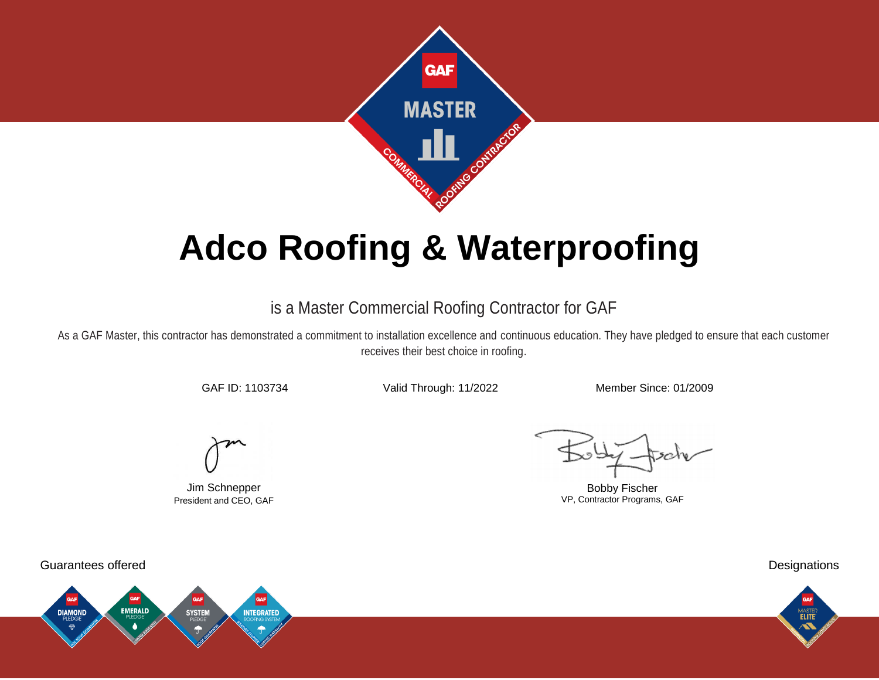

# **Adco Roofing & Waterproofing**

## is a Master Commercial Roofing Contractor for GAF

As a GAF Master, this contractor has demonstrated a commitment to installation excellence and continuous education. They have pledged to ensure that each customer receives their best choice in roofing.

GAF ID: 1103734 Valid Through: 11/2022 Member Since: 01/2009

Jim Schnepper President and CEO, GAF

Bobby Fischer VP, Contractor Programs, GAF



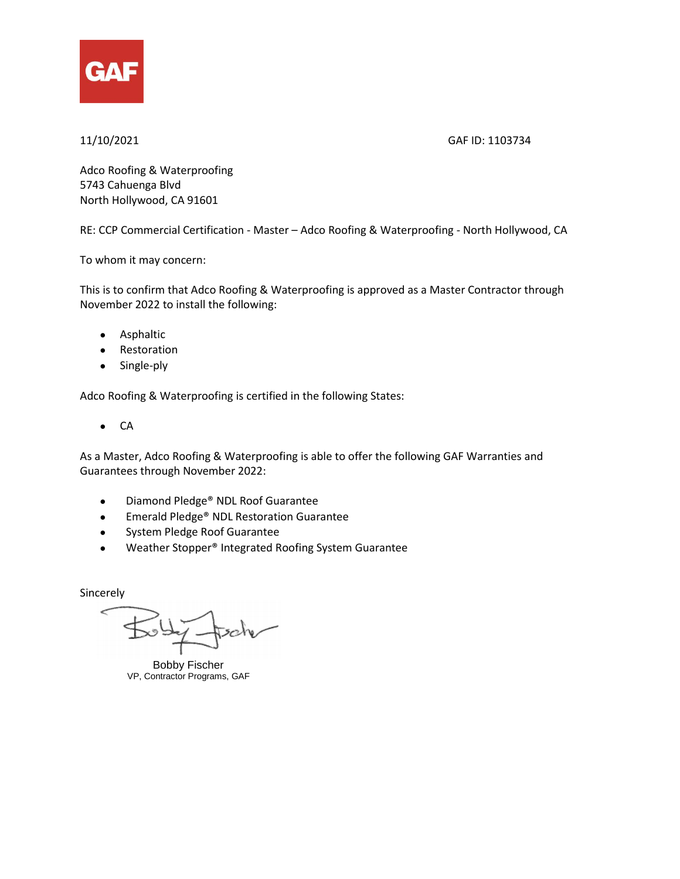

### 11/10/2021 GAF ID: 1103734

Adco Roofing & Waterproofing 5743 Cahuenga Blvd North Hollywood, CA 91601

RE: CCP Commercial Certification - Master – Adco Roofing & Waterproofing - North Hollywood, CA

To whom it may concern:

This is to confirm that Adco Roofing & Waterproofing is approved as a Master Contractor through November 2022 to install the following:

- Asphaltic
- Restoration
- Single-ply

Adco Roofing & Waterproofing is certified in the following States:

 $\bullet$  CA

As a Master, Adco Roofing & Waterproofing is able to offer the following GAF Warranties and Guarantees through November 2022:

- Diamond Pledge<sup>®</sup> NDL Roof Guarantee
- **Emerald Pledge<sup>®</sup> NDL Restoration Guarantee**
- **•** System Pledge Roof Guarantee
- Weather Stopper® Integrated Roofing System Guarantee

Sincerely

Bobby Fischer VP, Contractor Programs, GAF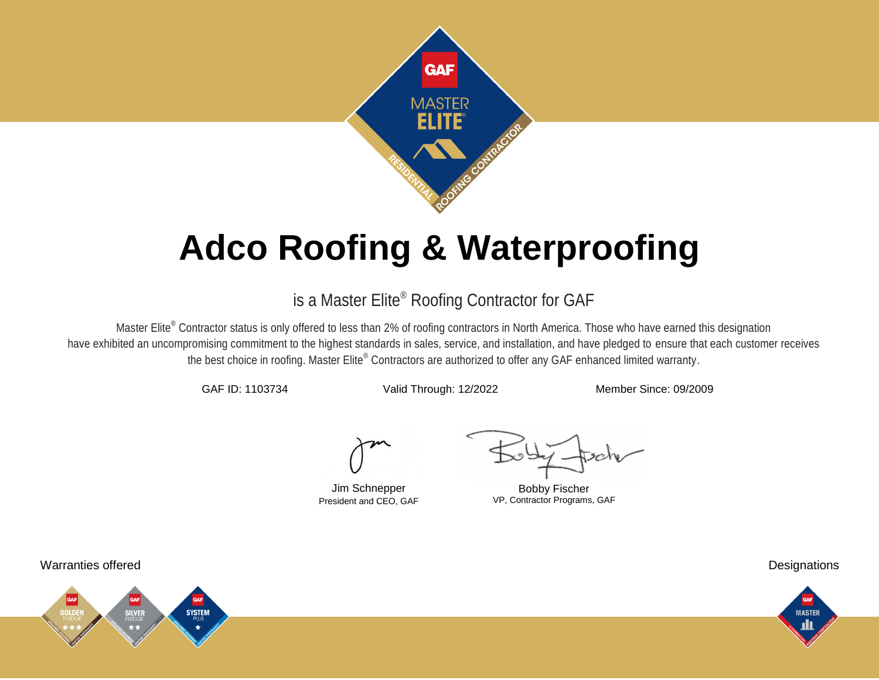

# **Adco Roofing & Waterproofing**

## is a Master Elite® Roofing Contractor for GAF

Master Elite<sup>®</sup> Contractor status is only offered to less than 2% of roofing contractors in North America. Those who have earned this designation have exhibited an uncompromising commitment to the highest standards in sales, service, and installation, and have pledged to ensure that each customer receives the best choice in roofing. Master Elite® Contractors are authorized to offer any GAF enhanced limited warranty.

GAF ID: 1103734 Valid Through: 12/2022 Member Since: 09/2009

Jim Schnepper President and CEO, GAF

Bobby Fischer VP, Contractor Programs, GAF

Warranties offered Designations